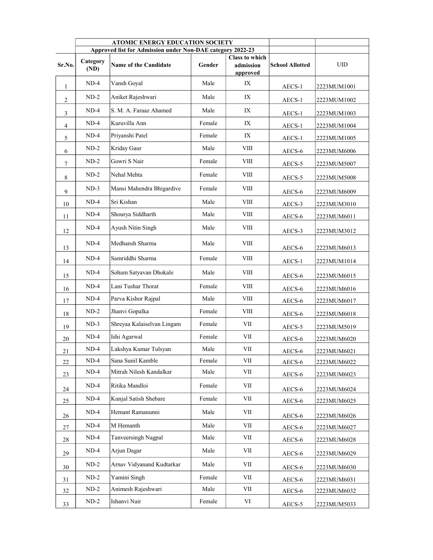|                | <b>ATOMIC ENERGY EDUCATION SOCIETY</b><br>Approved list for Admission under Non-DAE category 2022-23 |                              |        |                                                |                        |             |
|----------------|------------------------------------------------------------------------------------------------------|------------------------------|--------|------------------------------------------------|------------------------|-------------|
| Sr.No.         | Category<br>(ND)                                                                                     | <b>Name of the Candidate</b> | Gender | <b>Class to which</b><br>admission<br>approved | <b>School Allotted</b> | <b>UID</b>  |
| 1              | $ND-4$                                                                                               | Vansh Goyal                  | Male   | IX                                             | AECS-1                 | 2223MUM1001 |
| 2              | $ND-2$                                                                                               | Aniket Rajeshwari            | Male   | IX                                             | AECS-1                 | 2223MUM1002 |
| 3              | $ND-4$                                                                                               | S. M. A. Faraaz Ahamed       | Male   | IX                                             | AECS-1                 | 2223MUM1003 |
| $\overline{4}$ | $ND-4$                                                                                               | Kuruvilla Ann                | Female | IX                                             | AECS-1                 | 2223MUM1004 |
| 5              | $ND-4$                                                                                               | Priyanshi Patel              | Female | IX                                             | AECS-1                 | 2223MUM1005 |
| 6              | $ND-2$                                                                                               | Kriday Gaur                  | Male   | VIII                                           | AECS-6                 | 2223MUM6006 |
| $\tau$         | $ND-2$                                                                                               | Gowri S Nair                 | Female | VIII                                           | AECS-5                 | 2223MUM5007 |
| 8              | $ND-2$                                                                                               | Nehal Mehta                  | Female | VIII                                           | AECS-5                 | 2223MUM5008 |
| 9              | $ND-3$                                                                                               | Mansi Mahendra Bhigardive    | Female | VIII                                           | AECS-6                 | 2223MUM6009 |
| 10             | $ND-4$                                                                                               | Sri Kishan                   | Male   | VIII                                           | AECS-3                 | 2223MUM3010 |
| 11             | $ND-4$                                                                                               | Shourya Siddharth            | Male   | VIII                                           | AECS-6                 | 2223MUM6011 |
| 12             | $ND-4$                                                                                               | Ayush Nitin Singh            | Male   | VIII                                           | AECS-3                 | 2223MUM3012 |
| 13             | $ND-4$                                                                                               | Medhansh Sharma              | Male   | VIII                                           | AECS-6                 | 2223MUM6013 |
| 14             | $ND-4$                                                                                               | Samriddhi Sharma             | Female | VIII                                           | AECS-1                 | 2223MUM1014 |
| 15             | $ND-4$                                                                                               | Soham Satyavan Dhokale       | Male   | VIII                                           | AECS-6                 | 2223MUM6015 |
| 16             | $ND-4$                                                                                               | Lani Tushar Thorat           | Female | VIII                                           | AECS-6                 | 2223MUM6016 |
| 17             | $ND-4$                                                                                               | Parva Kishor Rajpal          | Male   | VIII                                           | AECS-6                 | 2223MUM6017 |
| 18             | $ND-2$                                                                                               | Jhanvi Gopalka               | Female | VIII                                           | AECS-6                 | 2223MUM6018 |
| 19             | $ND-3$                                                                                               | Shreyaa Kalaiselvan Lingam   | Female | VII                                            | AECS-5                 | 2223MUM5019 |
| 20             | $ND-4$                                                                                               | Ishi Agarwal                 | Female | VII                                            | AECS-6                 | 2223MUM6020 |
| 21             | $ND-4$                                                                                               | Lakshya Kumar Tulsyan        | Male   | VII                                            | AECS-6                 | 2223MUM6021 |
| 22             | $ND-4$                                                                                               | Sana Sunil Kamble            | Female | VII                                            | AECS-6                 | 2223MUM6022 |
| 23             | $ND-4$                                                                                               | Mitrah Nilesh Kandalkar      | Male   | $\ensuremath{\text{VII}}$                      | AECS-6                 | 2223MUM6023 |
| 24             | $ND-4$                                                                                               | Ritika Mandloi               | Female | VІІ                                            | AECS-6                 | 2223MUM6024 |
| 25             | $ND-4$                                                                                               | Kunjal Satish Shebare        | Female | VII                                            | AECS-6                 | 2223MUM6025 |
| 26             | $ND-4$                                                                                               | Hemant Ramanunni             | Male   | VII                                            | AECS-6                 | 2223MUM6026 |
| 27             | $ND-4$                                                                                               | M Hemanth                    | Male   | VІІ                                            | AECS-6                 | 2223MUM6027 |
| 28             | $ND-4$                                                                                               | Tanveersingh Nagpal          | Male   | VII                                            | AECS-6                 | 2223MUM6028 |
| 29             | $ND-4$                                                                                               | Arjun Dagar                  | Male   | VІІ                                            | AECS-6                 | 2223MUM6029 |
| 30             | $ND-2$                                                                                               | Arnav Vidyanand Kudtarkar    | Male   | VII                                            | AECS-6                 | 2223MUM6030 |
| 31             | $ND-2$                                                                                               | Yamini Singh                 | Female | VII                                            | AECS-6                 | 2223MUM6031 |
| 32             | $ND-2$                                                                                               | Animesh Rajeshwari           | Male   | VІІ                                            | AECS-6                 | 2223MUM6032 |
| 33             | $ND-2$                                                                                               | Ishanvi Nair                 | Female | VI                                             | AECS-5                 | 2223MUM5033 |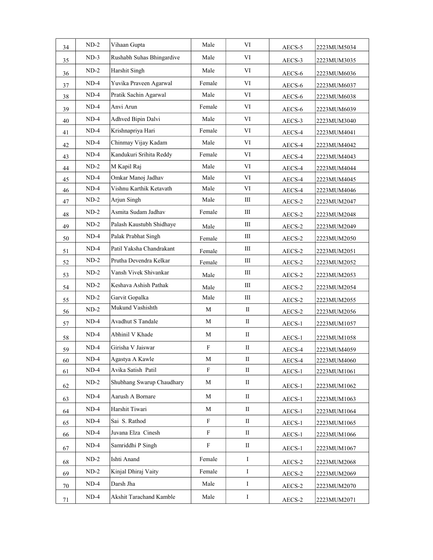| 34 | $ND-2$ | Vihaan Gupta              | Male        | VI                               | AECS-5          | 2223MUM5034 |
|----|--------|---------------------------|-------------|----------------------------------|-----------------|-------------|
| 35 | $ND-3$ | Rushabh Suhas Bhingardive | Male        | VI                               | AECS-3          | 2223MUM3035 |
| 36 | $ND-2$ | Harshit Singh             | Male        | VI                               | AECS-6          | 2223MUM6036 |
| 37 | $ND-4$ | Yuvika Praveen Agarwal    | Female      | VI                               | AECS-6          | 2223MUM6037 |
| 38 | $ND-4$ | Pratik Sachin Agarwal     | Male        | VI                               | AECS-6          | 2223MUM6038 |
| 39 | $ND-4$ | Anvi Arun                 | Female      | VI                               | AECS-6          | 2223MUM6039 |
| 40 | $ND-4$ | <b>Adhved Bipin Dalvi</b> | Male        | VI                               | AECS-3          | 2223MUM3040 |
| 41 | $ND-4$ | Krishnapriya Hari         | Female      | VI                               | AECS-4          | 2223MUM4041 |
| 42 | $ND-4$ | Chinmay Vijay Kadam       | Male        | VI                               | AECS-4          | 2223MUM4042 |
| 43 | $ND-4$ | Kandukuri Srihita Reddy   | Female      | VI                               | AECS-4          | 2223MUM4043 |
| 44 | $ND-2$ | M Kapil Raj               | Male        | VI                               | AECS-4          | 2223MUM4044 |
| 45 | $ND-4$ | Omkar Manoj Jadhav        | Male        | VI                               | AECS-4          | 2223MUM4045 |
| 46 | $ND-4$ | Vishnu Karthik Ketavath   | Male        | VI                               | AECS-4          | 2223MUM4046 |
| 47 | $ND-2$ | Arjun Singh               | Male        | Ш                                | AECS-2          | 2223MUM2047 |
| 48 | $ND-2$ | Asmita Sudam Jadhav       | Female      | Ш                                | AECS-2          | 2223MUM2048 |
| 49 | $ND-2$ | Palash Kaustubh Shidhaye  | Male        | $\mathop{\mathrm{III}}\nolimits$ | AECS-2          | 2223MUM2049 |
| 50 | $ND-4$ | Palak Prabhat Singh       | Female      | $\mathop{\mathrm{III}}\nolimits$ | AECS-2          | 2223MUM2050 |
| 51 | $ND-4$ | Patil Yaksha Chandrakant  | Female      | Ш                                | AECS-2          | 2223MUM2051 |
| 52 | $ND-2$ | Prutha Devendra Kelkar    | Female      | Ш                                | AECS-2          | 2223MUM2052 |
| 53 | $ND-2$ | Vansh Vivek Shivankar     | Male        | Ш                                | AECS-2          | 2223MUM2053 |
| 54 | $ND-2$ | Keshava Ashish Pathak     | Male        | Ш                                | AECS-2          | 2223MUM2054 |
| 55 | $ND-2$ | Garvit Gopalka            | Male        | Ш                                | AECS-2          | 2223MUM2055 |
| 56 | $ND-2$ | Mukund Vashishth          | M           | $\mathbf{I}$                     | AECS-2          | 2223MUM2056 |
| 57 | $ND-4$ | Avadhut S Tandale         | M           | $\mathbf{I}$                     | AECS-1          | 2223MUM1057 |
| 58 | $ND-4$ | Abhinil V Khade           | M           | $\mathbf{I}$                     | AECS-1          | 2223MUM1058 |
| 59 | $ND-4$ | Girisha V Jaiswar         | $\mathbf F$ | $\mathbf{I}$                     | AECS-4          | 2223MUM4059 |
| 60 | $ND-4$ | Agastya A Kawle           | M           | $\mathbf{I}$                     | AECS-4          | 2223MUM4060 |
| 61 | $ND-4$ | Avika Satish Patil        | F           | $\mathbf{I}$                     | AECS-1          | 2223MUM1061 |
| 62 | $ND-2$ | Shubhang Swarup Chaudhary | М           | $\mathbf{I}$                     | AECS-1          | 2223MUM1062 |
| 63 | $ND-4$ | Aarush A Bornare          | M           | $\mathop{\mathrm{II}}\nolimits$  | AECS-1          | 2223MUM1063 |
| 64 | $ND-4$ | Harshit Tiwari            | M           | $\rm{II}$                        | AECS-1          | 2223MUM1064 |
| 65 | $ND-4$ | Sai S. Rathod             | F           | $\mathbf{I}$                     | AECS-1          | 2223MUM1065 |
| 66 | $ND-4$ | Juvana Elza Cinesh        | F           | $\mathbf{I}$                     | AECS-1          | 2223MUM1066 |
| 67 | $ND-4$ | Samriddhi P Singh         | $\mathbf F$ | $\mathbf{I}$                     | AECS-1          | 2223MUM1067 |
| 68 | $ND-2$ | Ishti Anand               | Female      | $\bf{I}$                         | AECS-2          | 2223MUM2068 |
| 69 | $ND-2$ | Kinjal Dhiraj Vaity       | Female      | $\bf{I}$                         | AECS-2          | 2223MUM2069 |
| 70 | $ND-4$ | Darsh Jha                 | Male        | $\bf{I}$                         | AECS-2          | 2223MUM2070 |
| 71 | $ND-4$ | Akshit Tarachand Kamble   | Male        | $\bf{I}$                         | $\mbox{AECS-2}$ | 2223MUM2071 |
|    |        |                           |             |                                  |                 |             |